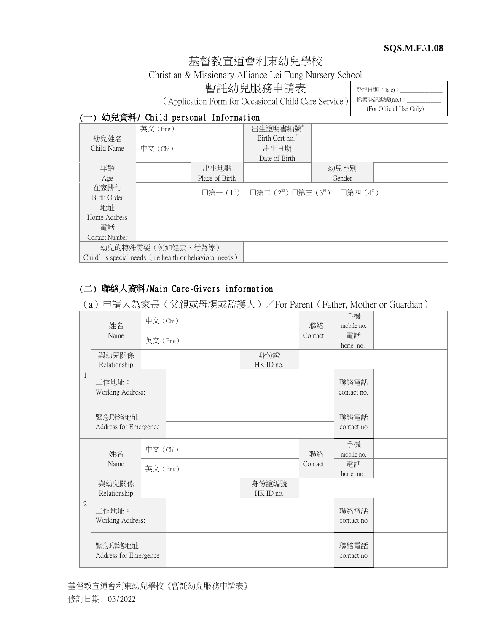#### **SQS.M.F.\1.08**

# 基督教宣道會利東幼兒學校

Christian & Missionary Alliance Lei Tung Nursery School

暫託幼兒服務申請表

(Application Form for Occasional Child Care Service)

登記日期  $(Date)$ : 檔案登記編號(no.):

(For Official Use Only)

### (一) 幼兒資料/ Child personal Information

|                                                        | 英文(Eng)  |                | 出生證明書編號                                                                                     |        |  |
|--------------------------------------------------------|----------|----------------|---------------------------------------------------------------------------------------------|--------|--|
| 幼兒姓名                                                   |          |                | Birth Cert no. <sup>#</sup>                                                                 |        |  |
| Child Name                                             | 中文 (Chi) |                | 出生日期                                                                                        |        |  |
|                                                        |          |                | Date of Birth                                                                               |        |  |
| 年齡                                                     |          | 出生地點           |                                                                                             | 幼兒性別   |  |
| Age                                                    |          | Place of Birth |                                                                                             | Gender |  |
| 在家排行                                                   |          |                | □第一( $1^{\text{st}}$ ) □第二( $2^{\text{nd}}$ ) □第三( $3^{\text{rd}}$ ) □第四( $4^{\text{th}}$ ) |        |  |
| Birth Order                                            |          |                |                                                                                             |        |  |
| 地址                                                     |          |                |                                                                                             |        |  |
| Home Address                                           |          |                |                                                                                             |        |  |
| 雷話                                                     |          |                |                                                                                             |        |  |
| Contact Number                                         |          |                |                                                                                             |        |  |
| 幼兒的特殊需要(例如健康、行為等)                                      |          |                |                                                                                             |        |  |
| Child's special needs (i.e health or behavioral needs) |          |                |                                                                                             |        |  |

## (二) 聯絡人資料/Main Care-Givers information

(a)申請人為家長(父親或母親或監護人)/For Parent(Father, Mother or Guardian)

|                | 姓名<br>Name                      | 中文(Chi) |                    | 聯絡               | 手機<br>mobile no. |                     |  |
|----------------|---------------------------------|---------|--------------------|------------------|------------------|---------------------|--|
|                |                                 |         | 英文(Eng)            |                  | Contact          | 電話<br>home no.      |  |
|                | 與幼兒關係<br>Relationship           |         |                    | 身份證<br>HK ID no. |                  |                     |  |
| 1              | 工作地址:<br>Working Address:       |         |                    |                  |                  | 聯絡電話<br>contact no. |  |
|                | 緊急聯絡地址<br>Address for Emergence |         |                    |                  |                  | 聯絡電話<br>contact no  |  |
|                | 姓名                              | 中文(Chi) |                    |                  | 聯絡               | 手機<br>mobile no.    |  |
|                | Name                            | 英文(Eng) |                    |                  | Contact          | 電話<br>home no.      |  |
|                | 與幼兒關係<br>Relationship           |         | 身份證編號<br>HK ID no. |                  |                  |                     |  |
| $\overline{2}$ | 工作地址:                           |         |                    |                  | 聯絡電話             |                     |  |
|                | Working Address:                |         |                    |                  |                  | contact no          |  |
|                | 緊急聯絡地址                          |         |                    |                  |                  | 聯絡電話                |  |
|                | Address for Emergence           |         |                    |                  |                  | contact no          |  |

基督教宣道會利東幼兒學校《暫託幼兒服務申請表》 修訂日期: 05/2022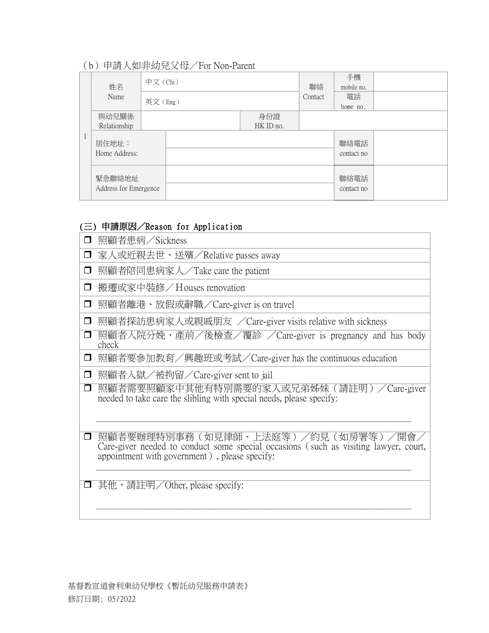## (b)申請人如非幼兒父母/For Non-Parent

| 姓名                              | 中文 (Chi) |                  | 聯絡      | 手機<br>mobile no.   |  |
|---------------------------------|----------|------------------|---------|--------------------|--|
| Name                            | 英文(Eng)  |                  | Contact | 電話<br>home no.     |  |
| 與幼兒關係<br>Relationship           |          | 身份證<br>HK ID no. |         |                    |  |
| 居住地址:<br>Home Address:          |          |                  |         | 聯絡電話<br>contact no |  |
| 緊急聯絡地址<br>Address for Emergence |          |                  |         | 聯絡電話<br>contact no |  |

# (三) 申請原因/Reason for Application

| $\Box$ | 照顧者患病/Sickness                                                                                                                                                              |
|--------|-----------------------------------------------------------------------------------------------------------------------------------------------------------------------------|
| $\Box$ | 家人或近親去世、送殯/Relative passes away                                                                                                                                             |
| $\Box$ | 照顧者陪同患病家人/Take care the patient                                                                                                                                             |
| $\Box$ | 搬遷或家中裝修/Houses renovation                                                                                                                                                   |
| $\Box$ | 照顧者離港、放假或辭職/Care-giver is on travel                                                                                                                                         |
| $\Box$ | 照顧者探訪患病家人或親戚朋友 /Care-giver visits relative with sickness                                                                                                                    |
| □      | 照顧者入院分娩、產前/後檢查/覆診 /Care-giver is pregnancy and has body<br>check                                                                                                            |
| $\Box$ | 照顧者要參加教育/興趣班或考試/Care-giver has the continuous education                                                                                                                     |
| $\Box$ | 照顧者入獄/被拘留/Care-giver sent to jail                                                                                                                                           |
| $\Box$ | 照顧者需要照顧家中其他有特別需要的家人或兄弟姊妹(請註明)/Care-giver<br>needed to take care the slibling with special needs, please specify:                                                            |
| $\Box$ | 照顧者要辦理特別事務(如見律師、上法庭等)/約見(如房署等)/開會/<br>Care-giver needed to conduct some special occasions (such as visiting lawyer, court,<br>appointment with government), please specify: |
|        | 其他,請註明/Other, please specify:                                                                                                                                               |